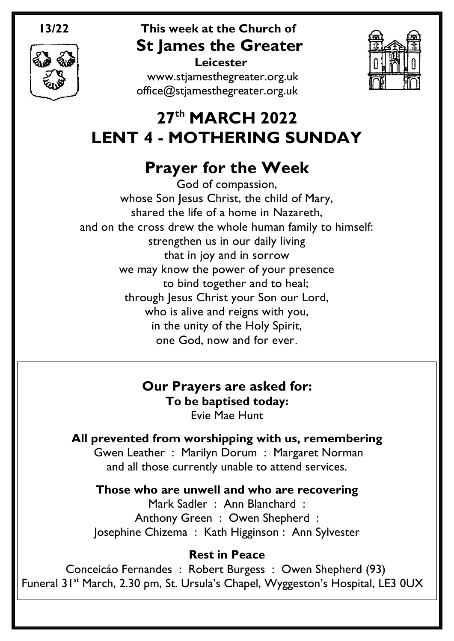

[www.stjamesthegreater.org.uk](http://www.stjamesthegreater.org.uk/) [office@stjamesthegreater.org.uk](mailto:office@stjamesthegreater.org.uk)



# **27 th MARCH 2022 LENT 4 - MOTHERING SUNDAY**

# **Prayer for the Week**

God of compassion, whose Son Jesus Christ, the child of Mary, shared the life of a home in Nazareth, and on the cross drew the whole human family to himself: strengthen us in our daily living that in joy and in sorrow we may know the power of your presence to bind together and to heal; through Jesus Christ your Son our Lord, who is alive and reigns with you, in the unity of the Holy Spirit, one God, now and for ever.

#### **Our Prayers are asked for: To be baptised today:** Evie Mae Hunt

#### **All prevented from worshipping with us, remembering**

Gwen Leather : Marilyn Dorum : Margaret Norman and all those currently unable to attend services.

**Those who are unwell and who are recovering**

Mark Sadler : Ann Blanchard : Anthony Green : Owen Shepherd : Josephine Chizema : Kath Higginson : Ann Sylvester

#### **Rest in Peace**

 Conceicáo Fernandes : Robert Burgess : Owen Shepherd (93) Funeral 31<sup>st</sup> March, 2.30 pm, St. Ursula's Chapel, Wyggeston's Hospital, LE3 0UX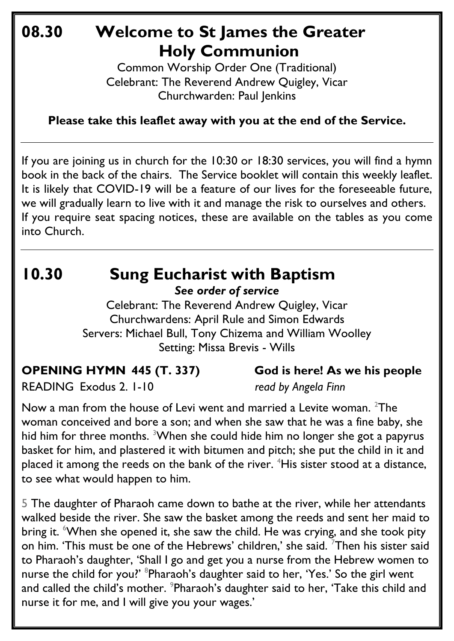## **08.30 Welcome to St James the Greater Holy Communion**

Common Worship Order One (Traditional) Celebrant: The Reverend Andrew Quigley, Vicar Churchwarden: Paul Jenkins

**Please take this leaflet away with you at the end of the Service.**

If you are joining us in church for the 10:30 or 18:30 services, you will find a hymn book in the back of the chairs. The Service booklet will contain this weekly leaflet. It is likely that COVID-19 will be a feature of our lives for the foreseeable future, we will gradually learn to live with it and manage the risk to ourselves and others. If you require seat spacing notices, these are available on the tables as you come into Church.

# **10.30 Sung Eucharist with Baptism**

*See order of service*

Celebrant: The Reverend Andrew Quigley, Vicar Churchwardens: April Rule and Simon Edwards Servers: Michael Bull, Tony Chizema and William Woolley Setting: Missa Brevis - Wills

**OPENING HYMN 445 (T. 337) God is here! As we his people**

READING Exodus 2. 1-10 *read by Angela Finn* 

Now a man from the house of Levi went and married a Levite woman. <sup>2</sup>The woman conceived and bore a son; and when she saw that he was a fine baby, she hid him for three months. <sup>3</sup>When she could hide him no longer she got a papyrus basket for him, and plastered it with bitumen and pitch; she put the child in it and placed it among the reeds on the bank of the river. <sup>4</sup>His sister stood at a distance, to see what would happen to him.

5 The daughter of Pharaoh came down to bathe at the river, while her attendants walked beside the river. She saw the basket among the reeds and sent her maid to bring it. <sup>6</sup>When she opened it, she saw the child. He was crying, and she took pity on him. 'This must be one of the Hebrews' children,' she said.  $7$ Then his sister said to Pharaoh's daughter, 'Shall I go and get you a nurse from the Hebrew women to nurse the child for you?' <sup>8</sup>Pharaoh's daughter said to her, 'Yes.' So the girl went and called the child's mother. <sup>9</sup>Pharaoh's daughter said to her, 'Take this child and nurse it for me, and I will give you your wages.'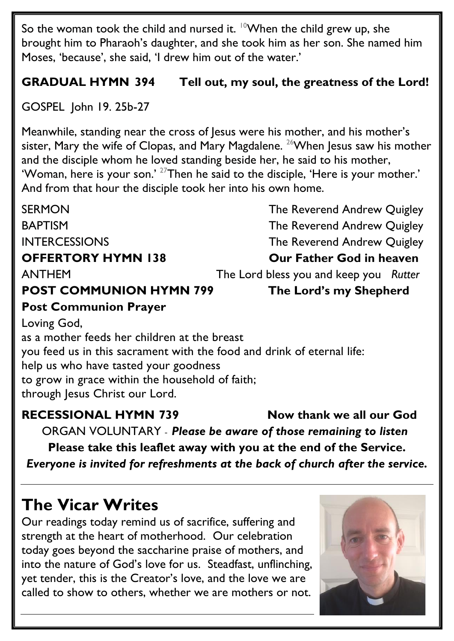So the woman took the child and nursed it.  $10$ When the child grew up, she brought him to Pharaoh's daughter, and she took him as her son. She named him Moses, 'because', she said, 'I drew him out of the water.'

#### **GRADUAL HYMN 394 Tell out, my soul, the greatness of the Lord!**

GOSPEL John 19. 25b-27

Meanwhile, standing near the cross of Jesus were his mother, and his mother's sister, Mary the wife of Clopas, and Mary Magdalene. <sup>26</sup>When Jesus saw his mother and the disciple whom he loved standing beside her, he said to his mother, 'Woman, here is your son.' <sup>27</sup>Then he said to the disciple, 'Here is your mother.' And from that hour the disciple took her into his own home.

SERMON GERMON The Reverend Andrew Quigley BAPTISM **BAPTISM BAPTISM** INTERCESSIONS The Reverend Andrew Quigley **OFFERTORY HYMN 138 Our Father God in heaven** ANTHEMThe Lord bless you and keep you *Rutter* **POST COMMUNION HYMN 799 The Lord's my Shepherd Post Communion Prayer**  Loving God, as a mother feeds her children at the breast you feed us in this sacrament with the food and drink of eternal life: help us who have tasted your goodness to grow in grace within the household of faith; through Jesus Christ our Lord.

**RECESSIONAL HYMN 739 Now thank we all our God** ORGAN VOLUNTARY - *Please be aware of those remaining to listen* **Please take this leaflet away with you at the end of the Service.**  *Everyone is invited for refreshments at the back of church after the service.*

# **The Vicar Writes**

Our readings today remind us of sacrifice, suffering and strength at the heart of motherhood. Our celebration today goes beyond the saccharine praise of mothers, and into the nature of God's love for us. Steadfast, unflinching, yet tender, this is the Creator's love, and the love we are called to show to others, whether we are mothers or not.

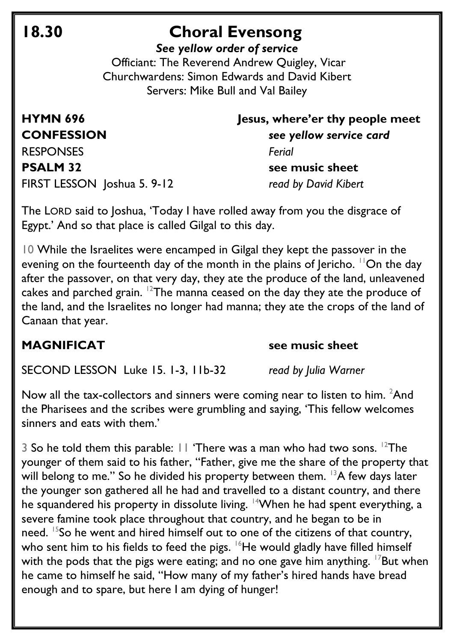## **18.30 Choral Evensong**

*See yellow order of service* Officiant: The Reverend Andrew Quigley, Vicar Churchwardens: Simon Edwards and David Kibert Servers: Mike Bull and Val Bailey

| <b>HYMN 696</b>            | Jesus, where'er thy people meet |
|----------------------------|---------------------------------|
| <b>CONFESSION</b>          | see yellow service card         |
| <b>RESPONSES</b>           | Ferial                          |
| <b>PSALM 32</b>            | see music sheet                 |
| FIRST LESSON Joshua 5.9-12 | read by David Kibert            |
|                            |                                 |

The LORD said to Joshua, 'Today I have rolled away from you the disgrace of Egypt.' And so that place is called Gilgal to this day.

10 While the Israelites were encamped in Gilgal they kept the passover in the evening on the fourteenth day of the month in the plains of Jericho. <sup>11</sup>On the day after the passover, on that very day, they ate the produce of the land, unleavened cakes and parched grain. <sup>12</sup>The manna ceased on the day they ate the produce of the land, and the Israelites no longer had manna; they ate the crops of the land of Canaan that year.

#### **MAGNIFICAT** see music sheet

SECOND LESSON Luke 15. 1-3, 11b-32 *read by Julia Warner*

Now all the tax-collectors and sinners were coming near to listen to him. <sup>2</sup>And the Pharisees and the scribes were grumbling and saying, 'This fellow welcomes sinners and eats with them.'

3 So he told them this parable: 11 'There was a man who had two sons. <sup>12</sup>The younger of them said to his father, "Father, give me the share of the property that will belong to me." So he divided his property between them.  $13A$  few days later the younger son gathered all he had and travelled to a distant country, and there he squandered his property in dissolute living. <sup>14</sup>When he had spent everything, a severe famine took place throughout that country, and he began to be in need.  $15$ So he went and hired himself out to one of the citizens of that country, who sent him to his fields to feed the pigs.  $16$ He would gladly have filled himself with the pods that the pigs were eating; and no one gave him anything. <sup>17</sup>But when he came to himself he said, "How many of my father's hired hands have bread enough and to spare, but here I am dying of hunger!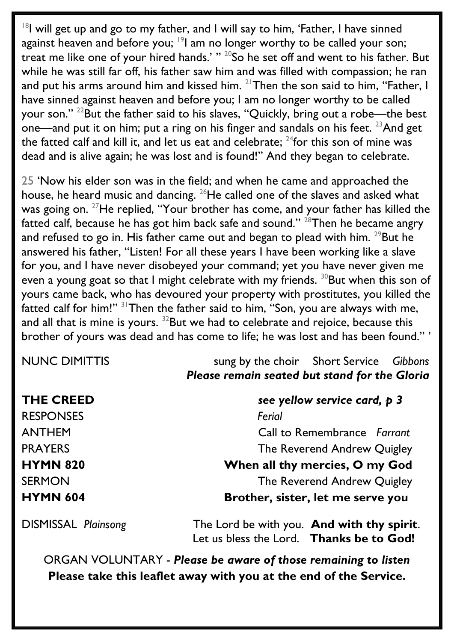$18$ I will get up and go to my father, and I will say to him, 'Father, I have sinned against heaven and before you;  $19$  am no longer worthy to be called your son; treat me like one of your hired hands.' "  $^{20}$ So he set off and went to his father. But while he was still far off, his father saw him and was filled with compassion; he ran and put his arms around him and kissed him.  $21$ Then the son said to him, "Father, I have sinned against heaven and before you; I am no longer worthy to be called your son." <sup>22</sup>But the father said to his slaves, "Quickly, bring out a robe—the best one—and put it on him; put a ring on his finger and sandals on his feet.  $^{23}$ And get the fatted calf and kill it, and let us eat and celebrate;  $24$  for this son of mine was dead and is alive again; he was lost and is found!" And they began to celebrate.

25 'Now his elder son was in the field; and when he came and approached the house, he heard music and dancing.  $^{26}$ He called one of the slaves and asked what was going on. <sup>27</sup>He replied, "Your brother has come, and your father has killed the fatted calf, because he has got him back safe and sound."<sup>28</sup>Then he became angry and refused to go in. His father came out and began to plead with him.  $29$ But he answered his father, "Listen! For all these years I have been working like a slave for you, and I have never disobeyed your command; yet you have never given me even a young goat so that I might celebrate with my friends.  $30$ But when this son of yours came back, who has devoured your property with prostitutes, you killed the fatted calf for him!" <sup>31</sup>Then the father said to him, "Son, you are always with me, and all that is mine is yours.  $32$  But we had to celebrate and rejoice, because this brother of yours was dead and has come to life; he was lost and has been found." '

NUNC DIMITTIS sung by the choir Short Service *Gibbons Please remain seated but stand for the Gloria*

| <b>THE CREED</b> | see yellow service card, p 3      |
|------------------|-----------------------------------|
| <b>RESPONSES</b> | Ferial                            |
| <b>ANTHEM</b>    | Call to Remembrance Farrant       |
| <b>PRAYERS</b>   | The Reverend Andrew Quigley       |
| <b>HYMN 820</b>  | When all thy mercies, O my God    |
| <b>SERMON</b>    | The Reverend Andrew Quigley       |
| <b>HYMN 604</b>  | Brother, sister, let me serve you |

DISMISSAL *Plainsong* The Lord be with you. **And with thy spirit**. Let us bless the Lord. **Thanks be to God!**

ORGAN VOLUNTARY - *Please be aware of those remaining to listen* **Please take this leaflet away with you at the end of the Service.**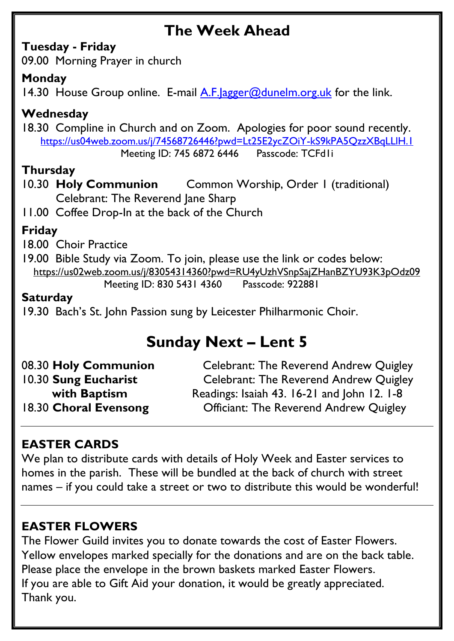## **The Week Ahead**

#### **Tuesday - Friday**

09.00 Morning Prayer in church

#### **Monday**

14.30 House Group online. E-mail A.F. agger@dunelm.org.uk for the link.

#### **Wednesday**

18.30 Compline in Church and on Zoom. Apologies for poor sound recently. <https://us04web.zoom.us/j/74568726446?pwd=Lt25E2ycZOiY-kS9kPA5QzzXBqLLlH.1> Meeting ID: 745 6872 6446 Passcode: TCFd1i

#### **Thursday**

10.30 **Holy Communion** Common Worship, Order 1 (traditional) Celebrant: The Reverend Jane Sharp

11.00 Coffee Drop-In at the back of the Church

#### **Friday**

18.00 Choir Practice

19.00 Bible Study via Zoom. To join, please use the link or codes below: <https://us02web.zoom.us/j/83054314360?pwd=RU4yUzhVSnpSajZHanBZYU93K3pOdz09> Meeting ID: 830 5431 4360 Passcode: 922881

#### **Saturday**

19.30 Bach's St. John Passion sung by Leicester Philharmonic Choir.

## **Sunday Next – Lent 5**

| <b>Celebrant: The Reverend Andrew Quigley</b> |
|-----------------------------------------------|
| Celebrant: The Reverend Andrew Quigley        |
| Readings: Isaiah 43. 16-21 and John 12. 1-8   |
| <b>Officiant: The Reverend Andrew Quigley</b> |
|                                               |

#### **EASTER CARDS**

We plan to distribute cards with details of Holy Week and Easter services to homes in the parish. These will be bundled at the back of church with street names – if you could take a street or two to distribute this would be wonderful!

#### **EASTER FLOWERS**

The Flower Guild invites you to donate towards the cost of Easter Flowers. Yellow envelopes marked specially for the donations and are on the back table. Please place the envelope in the brown baskets marked Easter Flowers. If you are able to Gift Aid your donation, it would be greatly appreciated. Thank you.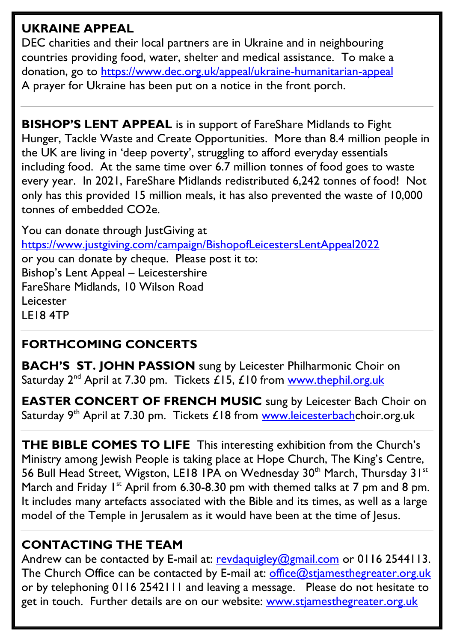### **UKRAINE APPEAL**

DEC charities and their local partners are in Ukraine and in neighbouring countries providing food, water, shelter and medical assistance. To make a donation, go to<https://www.dec.org.uk/appeal/ukraine-humanitarian-appeal> A prayer for Ukraine has been put on a notice in the front porch.

**BISHOP'S LENT APPEAL** is in support of FareShare Midlands to Fight Hunger, Tackle Waste and Create Opportunities. More than 8.4 million people in the UK are living in 'deep poverty', struggling to afford everyday essentials including food. At the same time over 6.7 million tonnes of food goes to waste every year. In 2021, FareShare Midlands redistributed 6,242 tonnes of food! Not only has this provided 15 million meals, it has also prevented the waste of 10,000 tonnes of embedded CO2e.

You can donate through JustGiving at <https://www.justgiving.com/campaign/BishopofLeicestersLentAppeal2022> or you can donate by cheque. Please post it to: Bishop's Lent Appeal – Leicestershire FareShare Midlands, 10 Wilson Road Leicester LE18 4TP

### **FORTHCOMING CONCERTS**

**BACH'S ST. JOHN PASSION** sung by Leicester Philharmonic Choir on Saturday 2<sup>nd</sup> April at 7.30 pm. Tickets £15, £10 from [www.thephil.org.uk](http://www.thephil.org.uk/)

**EASTER CONCERT OF FRENCH MUSIC** sung by Leicester Bach Choir on Saturday 9<sup>th</sup> April at 7.30 pm. Tickets £18 from [www.leicesterbachc](http://www.leicesterbach/)hoir.org.uk

**THE BIBLE COMES TO LIFE** This interesting exhibition from the Church's Ministry among Jewish People is taking place at Hope Church, The King's Centre, 56 Bull Head Street, Wigston, LE18 1PA on Wednesday 30<sup>th</sup> March, Thursday 31<sup>st</sup> March and Friday  $I^{st}$  April from 6.30-8.30 pm with themed talks at 7 pm and 8 pm. It includes many artefacts associated with the Bible and its times, as well as a large model of the Temple in Jerusalem as it would have been at the time of Jesus.

#### **CONTACTING THE TEAM**

Andrew can be contacted by E-mail at: [revdaquigley@gmail.com](mailto:revdaquigley@gmail.com) or 0116 2544113. The Church Office can be contacted by E-mail at: [office@stjamesthegreater.org.uk](mailto:office@stjamesthegreater.org.uk) or by telephoning 0116 2542111 and leaving a message. Please do not hesitate to get in touch. Further details are on our website: [www.stjamesthegreater.org.uk](http://www.stjamesthegreater.org.uk/)